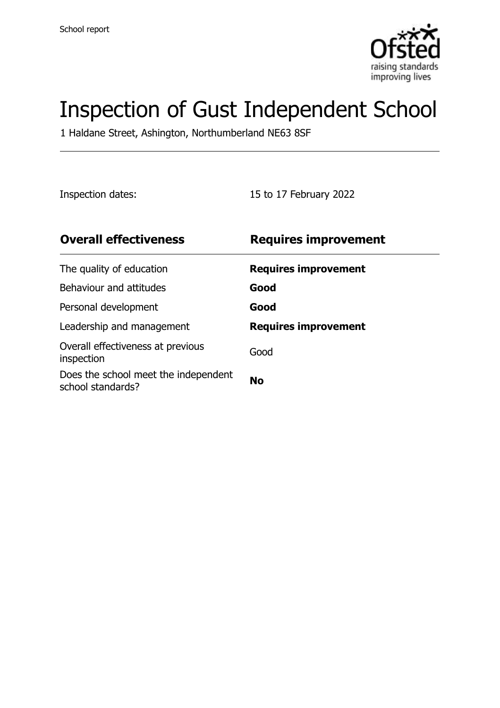

# Inspection of Gust Independent School

1 Haldane Street, Ashington, Northumberland NE63 8SF

Inspection dates: 15 to 17 February 2022

| <b>Overall effectiveness</b>                              | <b>Requires improvement</b> |
|-----------------------------------------------------------|-----------------------------|
| The quality of education                                  | <b>Requires improvement</b> |
| Behaviour and attitudes                                   | Good                        |
| Personal development                                      | Good                        |
| Leadership and management                                 | <b>Requires improvement</b> |
| Overall effectiveness at previous<br>inspection           | Good                        |
| Does the school meet the independent<br>school standards? | <b>No</b>                   |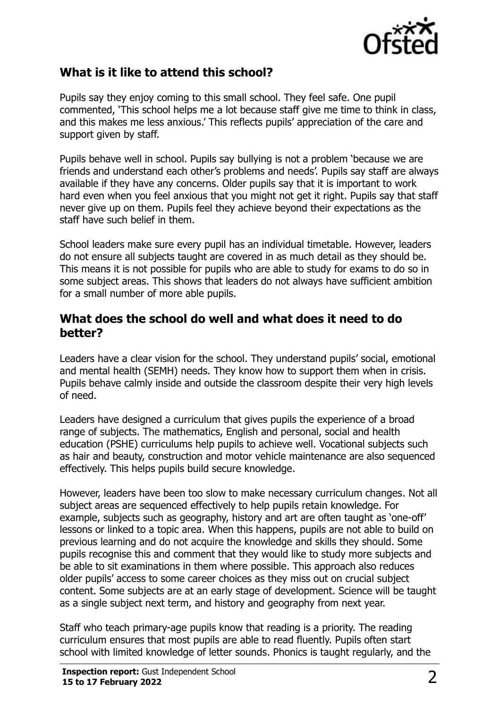

## **What is it like to attend this school?**

Pupils say they enjoy coming to this small school. They feel safe. One pupil commented, 'This school helps me a lot because staff give me time to think in class, and this makes me less anxious.' This reflects pupils' appreciation of the care and support given by staff.

Pupils behave well in school. Pupils say bullying is not a problem 'because we are friends and understand each other's problems and needs'. Pupils say staff are always available if they have any concerns. Older pupils say that it is important to work hard even when you feel anxious that you might not get it right. Pupils say that staff never give up on them. Pupils feel they achieve beyond their expectations as the staff have such belief in them.

School leaders make sure every pupil has an individual timetable. However, leaders do not ensure all subjects taught are covered in as much detail as they should be. This means it is not possible for pupils who are able to study for exams to do so in some subject areas. This shows that leaders do not always have sufficient ambition for a small number of more able pupils.

#### **What does the school do well and what does it need to do better?**

Leaders have a clear vision for the school. They understand pupils' social, emotional and mental health (SEMH) needs. They know how to support them when in crisis. Pupils behave calmly inside and outside the classroom despite their very high levels of need.

Leaders have designed a curriculum that gives pupils the experience of a broad range of subjects. The mathematics, English and personal, social and health education (PSHE) curriculums help pupils to achieve well. Vocational subjects such as hair and beauty, construction and motor vehicle maintenance are also sequenced effectively. This helps pupils build secure knowledge.

However, leaders have been too slow to make necessary curriculum changes. Not all subject areas are sequenced effectively to help pupils retain knowledge. For example, subjects such as geography, history and art are often taught as 'one-off' lessons or linked to a topic area. When this happens, pupils are not able to build on previous learning and do not acquire the knowledge and skills they should. Some pupils recognise this and comment that they would like to study more subjects and be able to sit examinations in them where possible. This approach also reduces older pupils' access to some career choices as they miss out on crucial subject content. Some subjects are at an early stage of development. Science will be taught as a single subject next term, and history and geography from next year.

Staff who teach primary-age pupils know that reading is a priority. The reading curriculum ensures that most pupils are able to read fluently. Pupils often start school with limited knowledge of letter sounds. Phonics is taught regularly, and the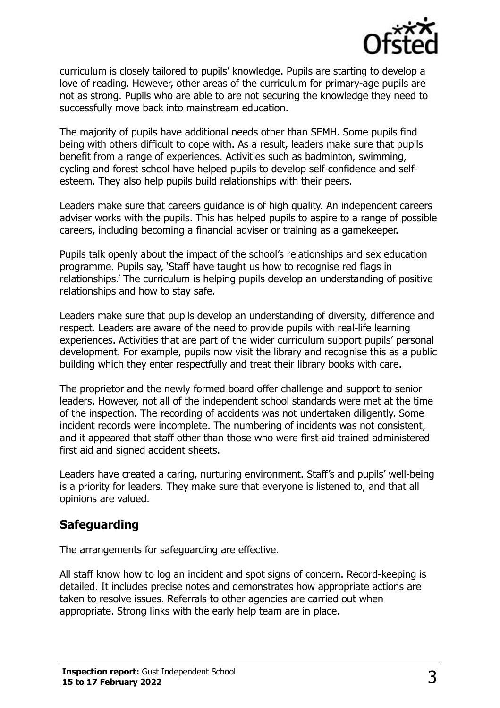

curriculum is closely tailored to pupils' knowledge. Pupils are starting to develop a love of reading. However, other areas of the curriculum for primary-age pupils are not as strong. Pupils who are able to are not securing the knowledge they need to successfully move back into mainstream education.

The majority of pupils have additional needs other than SEMH. Some pupils find being with others difficult to cope with. As a result, leaders make sure that pupils benefit from a range of experiences. Activities such as badminton, swimming, cycling and forest school have helped pupils to develop self-confidence and selfesteem. They also help pupils build relationships with their peers.

Leaders make sure that careers guidance is of high quality. An independent careers adviser works with the pupils. This has helped pupils to aspire to a range of possible careers, including becoming a financial adviser or training as a gamekeeper.

Pupils talk openly about the impact of the school's relationships and sex education programme. Pupils say, 'Staff have taught us how to recognise red flags in relationships.' The curriculum is helping pupils develop an understanding of positive relationships and how to stay safe.

Leaders make sure that pupils develop an understanding of diversity, difference and respect. Leaders are aware of the need to provide pupils with real-life learning experiences. Activities that are part of the wider curriculum support pupils' personal development. For example, pupils now visit the library and recognise this as a public building which they enter respectfully and treat their library books with care.

The proprietor and the newly formed board offer challenge and support to senior leaders. However, not all of the independent school standards were met at the time of the inspection. The recording of accidents was not undertaken diligently. Some incident records were incomplete. The numbering of incidents was not consistent, and it appeared that staff other than those who were first-aid trained administered first aid and signed accident sheets.

Leaders have created a caring, nurturing environment. Staff's and pupils' well-being is a priority for leaders. They make sure that everyone is listened to, and that all opinions are valued.

## **Safeguarding**

The arrangements for safeguarding are effective.

All staff know how to log an incident and spot signs of concern. Record-keeping is detailed. It includes precise notes and demonstrates how appropriate actions are taken to resolve issues. Referrals to other agencies are carried out when appropriate. Strong links with the early help team are in place.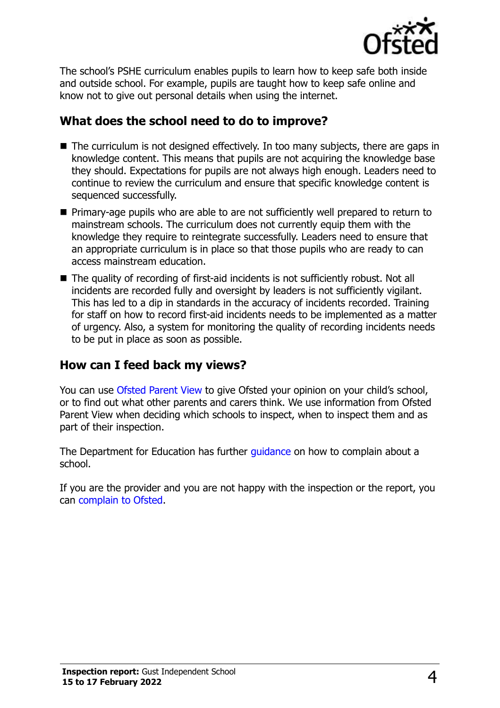

The school's PSHE curriculum enables pupils to learn how to keep safe both inside and outside school. For example, pupils are taught how to keep safe online and know not to give out personal details when using the internet.

## **What does the school need to do to improve?**

- The curriculum is not designed effectively. In too many subjects, there are gaps in knowledge content. This means that pupils are not acquiring the knowledge base they should. Expectations for pupils are not always high enough. Leaders need to continue to review the curriculum and ensure that specific knowledge content is sequenced successfully.
- Primary-age pupils who are able to are not sufficiently well prepared to return to mainstream schools. The curriculum does not currently equip them with the knowledge they require to reintegrate successfully. Leaders need to ensure that an appropriate curriculum is in place so that those pupils who are ready to can access mainstream education.
- The quality of recording of first-aid incidents is not sufficiently robust. Not all incidents are recorded fully and oversight by leaders is not sufficiently vigilant. This has led to a dip in standards in the accuracy of incidents recorded. Training for staff on how to record first-aid incidents needs to be implemented as a matter of urgency. Also, a system for monitoring the quality of recording incidents needs to be put in place as soon as possible.

#### **How can I feed back my views?**

You can use [Ofsted Parent View](http://parentview.ofsted.gov.uk/) to give Ofsted your opinion on your child's school, or to find out what other parents and carers think. We use information from Ofsted Parent View when deciding which schools to inspect, when to inspect them and as part of their inspection.

The Department for Education has further quidance on how to complain about a school.

If you are the provider and you are not happy with the inspection or the report, you can [complain to Ofsted.](http://www.gov.uk/complain-ofsted-report)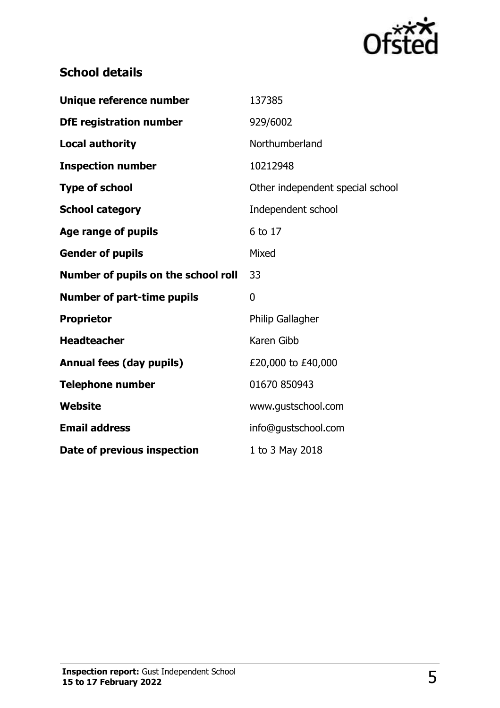

## **School details**

| Unique reference number             | 137385                           |
|-------------------------------------|----------------------------------|
| <b>DfE registration number</b>      | 929/6002                         |
| <b>Local authority</b>              | Northumberland                   |
| <b>Inspection number</b>            | 10212948                         |
| <b>Type of school</b>               | Other independent special school |
| <b>School category</b>              | Independent school               |
| Age range of pupils                 | 6 to 17                          |
| <b>Gender of pupils</b>             | Mixed                            |
| Number of pupils on the school roll | 33                               |
| <b>Number of part-time pupils</b>   | 0                                |
| <b>Proprietor</b>                   | <b>Philip Gallagher</b>          |
| <b>Headteacher</b>                  | Karen Gibb                       |
| <b>Annual fees (day pupils)</b>     | £20,000 to £40,000               |
| <b>Telephone number</b>             | 01670 850943                     |
| Website                             | www.gustschool.com               |
| <b>Email address</b>                | info@gustschool.com              |
| Date of previous inspection         | 1 to 3 May 2018                  |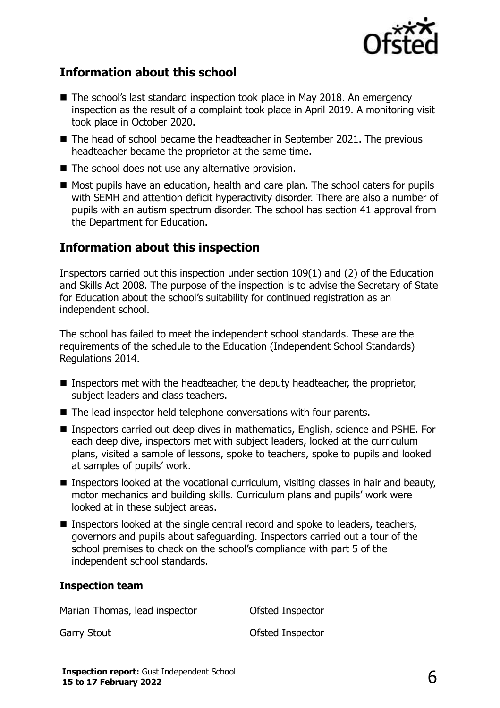

### **Information about this school**

- The school's last standard inspection took place in May 2018. An emergency inspection as the result of a complaint took place in April 2019. A monitoring visit took place in October 2020.
- The head of school became the headteacher in September 2021. The previous headteacher became the proprietor at the same time.
- The school does not use any alternative provision.
- Most pupils have an education, health and care plan. The school caters for pupils with SEMH and attention deficit hyperactivity disorder. There are also a number of pupils with an autism spectrum disorder. The school has section 41 approval from the Department for Education.

### **Information about this inspection**

Inspectors carried out this inspection under section 109(1) and (2) of the Education and Skills Act 2008. The purpose of the inspection is to advise the Secretary of State for Education about the school's suitability for continued registration as an independent school.

The school has failed to meet the independent school standards. These are the requirements of the schedule to the Education (Independent School Standards) Regulations 2014.

- Inspectors met with the headteacher, the deputy headteacher, the proprietor, subject leaders and class teachers.
- The lead inspector held telephone conversations with four parents.
- Inspectors carried out deep dives in mathematics, English, science and PSHE. For each deep dive, inspectors met with subject leaders, looked at the curriculum plans, visited a sample of lessons, spoke to teachers, spoke to pupils and looked at samples of pupils' work.
- Inspectors looked at the vocational curriculum, visiting classes in hair and beauty, motor mechanics and building skills. Curriculum plans and pupils' work were looked at in these subject areas.
- Inspectors looked at the single central record and spoke to leaders, teachers, governors and pupils about safeguarding. Inspectors carried out a tour of the school premises to check on the school's compliance with part 5 of the independent school standards.

#### **Inspection team**

Marian Thomas, lead inspector **Contact Constant** Ofsted Inspector

Garry Stout **Garry Stout Carry Stout Carry Stout Carry Stout Carry Stout Carry Stout Carry Stout Carry Stout Carry Stout Carry Stout Carry Stout Carry Stout Carry Stout Carry Stout Carry Stout**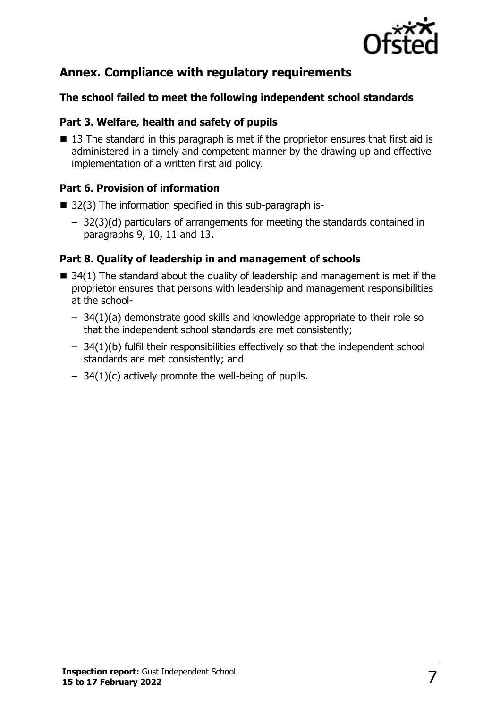

## **Annex. Compliance with regulatory requirements**

#### **The school failed to meet the following independent school standards**

#### **Part 3. Welfare, health and safety of pupils**

■ 13 The standard in this paragraph is met if the proprietor ensures that first aid is administered in a timely and competent manner by the drawing up and effective implementation of a written first aid policy.

#### **Part 6. Provision of information**

- 32(3) The information specified in this sub-paragraph is-
	- 32(3)(d) particulars of arrangements for meeting the standards contained in paragraphs 9, 10, 11 and 13.

#### **Part 8. Quality of leadership in and management of schools**

- $\blacksquare$  34(1) The standard about the quality of leadership and management is met if the proprietor ensures that persons with leadership and management responsibilities at the school-
	- 34(1)(a) demonstrate good skills and knowledge appropriate to their role so that the independent school standards are met consistently;
	- 34(1)(b) fulfil their responsibilities effectively so that the independent school standards are met consistently; and
	- $-$  34(1)(c) actively promote the well-being of pupils.